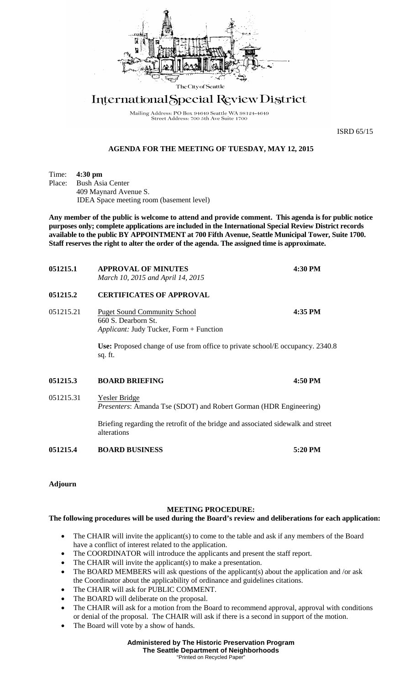

## International Special Review District

Mailing Address: PO Box 94649 Seattle WA 98124-4649<br>Street Address: 700 5th Ave Suite 1700

ISRD 65/15

## **AGENDA FOR THE MEETING OF TUESDAY, MAY 12, 2015**

Time: **4:30 pm**<br>Place: Bush Asi

**Bush Asia Center** 409 Maynard Avenue S. IDEA Space meeting room (basement level)

**Any member of the public is welcome to attend and provide comment. This agenda is for public notice purposes only; complete applications are included in the International Special Review District records available to the public BY APPOINTMENT at 700 Fifth Avenue, Seattle Municipal Tower, Suite 1700. Staff reserves the right to alter the order of the agenda. The assigned time is approximate.** 

| 051215.1  | <b>APPROVAL OF MINUTES</b><br>March 10, 2015 and April 14, 2015                                                                                                                                                     | 4:30 PM |
|-----------|---------------------------------------------------------------------------------------------------------------------------------------------------------------------------------------------------------------------|---------|
| 051215.2  | <b>CERTIFICATES OF APPROVAL</b>                                                                                                                                                                                     |         |
| 051215.21 | 4:35 PM<br><b>Puget Sound Community School</b><br>660 S. Dearborn St.<br><i>Applicant:</i> Judy Tucker, Form + Function<br>Use: Proposed change of use from office to private school/E occupancy. 2340.8<br>sq. ft. |         |
| 051215.3  | <b>BOARD BRIEFING</b>                                                                                                                                                                                               | 4:50 PM |
| 051215.31 | <b>Yesler Bridge</b><br><i>Presenters:</i> Amanda Tse (SDOT) and Robert Gorman (HDR Engineering)                                                                                                                    |         |
|           | Briefing regarding the retrofit of the bridge and associated sidewalk and street<br>alterations                                                                                                                     |         |

**051215.4 BOARD BUSINESS 5:20 PM**

**Adjourn**

## **MEETING PROCEDURE:**

**The following procedures will be used during the Board's review and deliberations for each application:** 

- The CHAIR will invite the applicant(s) to come to the table and ask if any members of the Board have a conflict of interest related to the application.
- The COORDINATOR will introduce the applicants and present the staff report.
- The CHAIR will invite the applicant(s) to make a presentation.
- The BOARD MEMBERS will ask questions of the applicant(s) about the application and /or ask the Coordinator about the applicability of ordinance and guidelines citations.
- The CHAIR will ask for PUBLIC COMMENT.
- The BOARD will deliberate on the proposal.
- The CHAIR will ask for a motion from the Board to recommend approval, approval with conditions or denial of the proposal. The CHAIR will ask if there is a second in support of the motion.
- The Board will vote by a show of hands.

**Administered by The Historic Preservation Program The Seattle Department of Neighborhoods** "Printed on Recycled Paper"